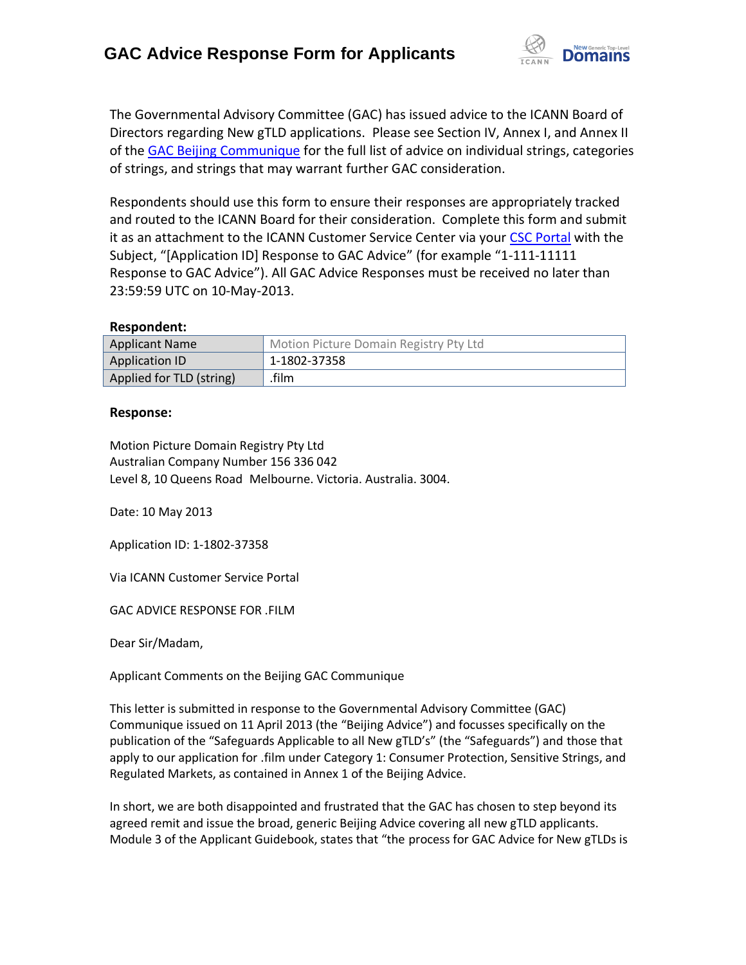

The Governmental Advisory Committee (GAC) has issued advice to the ICANN Board of Directors regarding New gTLD applications. Please see Section IV, Annex I, and Annex II of the [GAC Beijing Communique](http://www.icann.org/en/news/correspondence/gac-to-board-18apr13-en.pdf) for the full list of advice on individual strings, categories of strings, and strings that may warrant further GAC consideration.

Respondents should use this form to ensure their responses are appropriately tracked and routed to the ICANN Board for their consideration. Complete this form and submit it as an attachment to the ICANN Customer Service Center via your CSC [Portal](https://myicann.secure.force.com/) with the Subject, "[Application ID] Response to GAC Advice" (for example "1-111-11111 Response to GAC Advice"). All GAC Advice Responses must be received no later than 23:59:59 UTC on 10-May-2013.

#### **Respondent:**

| <b>Applicant Name</b>    | Motion Picture Domain Registry Pty Ltd |
|--------------------------|----------------------------------------|
| <b>Application ID</b>    | 1-1802-37358                           |
| Applied for TLD (string) | .film                                  |

### **Response:**

Motion Picture Domain Registry Pty Ltd Australian Company Number 156 336 042 Level 8, 10 Queens Road Melbourne. Victoria. Australia. 3004.

Date: 10 May 2013

Application ID: 1-1802-37358

Via ICANN Customer Service Portal

GAC ADVICE RESPONSE FOR .FILM

Dear Sir/Madam,

Applicant Comments on the Beijing GAC Communique

This letter is submitted in response to the Governmental Advisory Committee (GAC) Communique issued on 11 April 2013 (the "Beijing Advice") and focusses specifically on the publication of the "Safeguards Applicable to all New gTLD's" (the "Safeguards") and those that apply to our application for .film under Category 1: Consumer Protection, Sensitive Strings, and Regulated Markets, as contained in Annex 1 of the Beijing Advice.

In short, we are both disappointed and frustrated that the GAC has chosen to step beyond its agreed remit and issue the broad, generic Beijing Advice covering all new gTLD applicants. Module 3 of the Applicant Guidebook, states that "the process for GAC Advice for New gTLDs is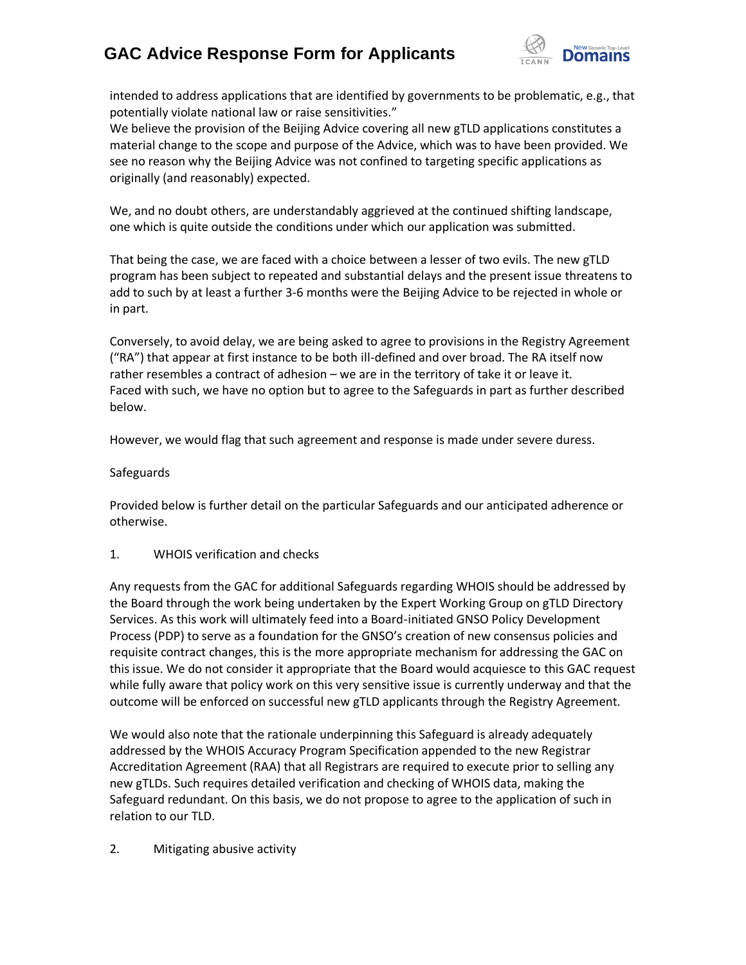

intended to address applications that are identified by governments to be problematic, e.g., that potentially violate national law or raise sensitivities."

We believe the provision of the Beijing Advice covering all new gTLD applications constitutes a material change to the scope and purpose of the Advice, which was to have been provided. We see no reason why the Beijing Advice was not confined to targeting specific applications as originally (and reasonably) expected.

We, and no doubt others, are understandably aggrieved at the continued shifting landscape, one which is quite outside the conditions under which our application was submitted.

That being the case, we are faced with a choice between a lesser of two evils. The new gTLD program has been subject to repeated and substantial delays and the present issue threatens to add to such by at least a further 3-6 months were the Beijing Advice to be rejected in whole or in part.

Conversely, to avoid delay, we are being asked to agree to provisions in the Registry Agreement ("RA") that appear at first instance to be both ill-defined and over broad. The RA itself now rather resembles a contract of adhesion – we are in the territory of take it or leave it. Faced with such, we have no option but to agree to the Safeguards in part as further described below.

However, we would flag that such agreement and response is made under severe duress.

### Safeguards

Provided below is further detail on the particular Safeguards and our anticipated adherence or otherwise.

### 1. WHOIS verification and checks

Any requests from the GAC for additional Safeguards regarding WHOIS should be addressed by the Board through the work being undertaken by the Expert Working Group on gTLD Directory Services. As this work will ultimately feed into a Board-initiated GNSO Policy Development Process (PDP) to serve as a foundation for the GNSO's creation of new consensus policies and requisite contract changes, this is the more appropriate mechanism for addressing the GAC on this issue. We do not consider it appropriate that the Board would acquiesce to this GAC request while fully aware that policy work on this very sensitive issue is currently underway and that the outcome will be enforced on successful new gTLD applicants through the Registry Agreement.

We would also note that the rationale underpinning this Safeguard is already adequately addressed by the WHOIS Accuracy Program Specification appended to the new Registrar Accreditation Agreement (RAA) that all Registrars are required to execute prior to selling any new gTLDs. Such requires detailed verification and checking of WHOIS data, making the Safeguard redundant. On this basis, we do not propose to agree to the application of such in relation to our TLD.

### 2. Mitigating abusive activity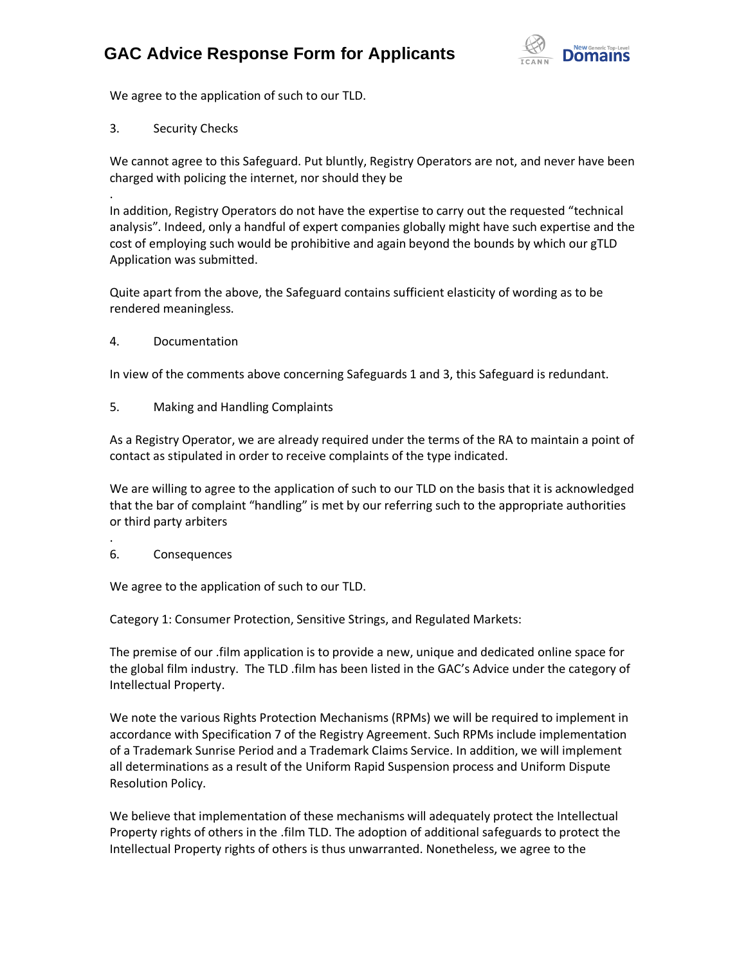

We agree to the application of such to our TLD.

3. Security Checks

.

We cannot agree to this Safeguard. Put bluntly, Registry Operators are not, and never have been charged with policing the internet, nor should they be

In addition, Registry Operators do not have the expertise to carry out the requested "technical analysis". Indeed, only a handful of expert companies globally might have such expertise and the cost of employing such would be prohibitive and again beyond the bounds by which our gTLD Application was submitted.

Quite apart from the above, the Safeguard contains sufficient elasticity of wording as to be rendered meaningless.

4. Documentation

In view of the comments above concerning Safeguards 1 and 3, this Safeguard is redundant.

5. Making and Handling Complaints

As a Registry Operator, we are already required under the terms of the RA to maintain a point of contact as stipulated in order to receive complaints of the type indicated.

We are willing to agree to the application of such to our TLD on the basis that it is acknowledged that the bar of complaint "handling" is met by our referring such to the appropriate authorities or third party arbiters

6. Consequences

.

We agree to the application of such to our TLD.

Category 1: Consumer Protection, Sensitive Strings, and Regulated Markets:

The premise of our .film application is to provide a new, unique and dedicated online space for the global film industry. The TLD .film has been listed in the GAC's Advice under the category of Intellectual Property.

We note the various Rights Protection Mechanisms (RPMs) we will be required to implement in accordance with Specification 7 of the Registry Agreement. Such RPMs include implementation of a Trademark Sunrise Period and a Trademark Claims Service. In addition, we will implement all determinations as a result of the Uniform Rapid Suspension process and Uniform Dispute Resolution Policy.

We believe that implementation of these mechanisms will adequately protect the Intellectual Property rights of others in the .film TLD. The adoption of additional safeguards to protect the Intellectual Property rights of others is thus unwarranted. Nonetheless, we agree to the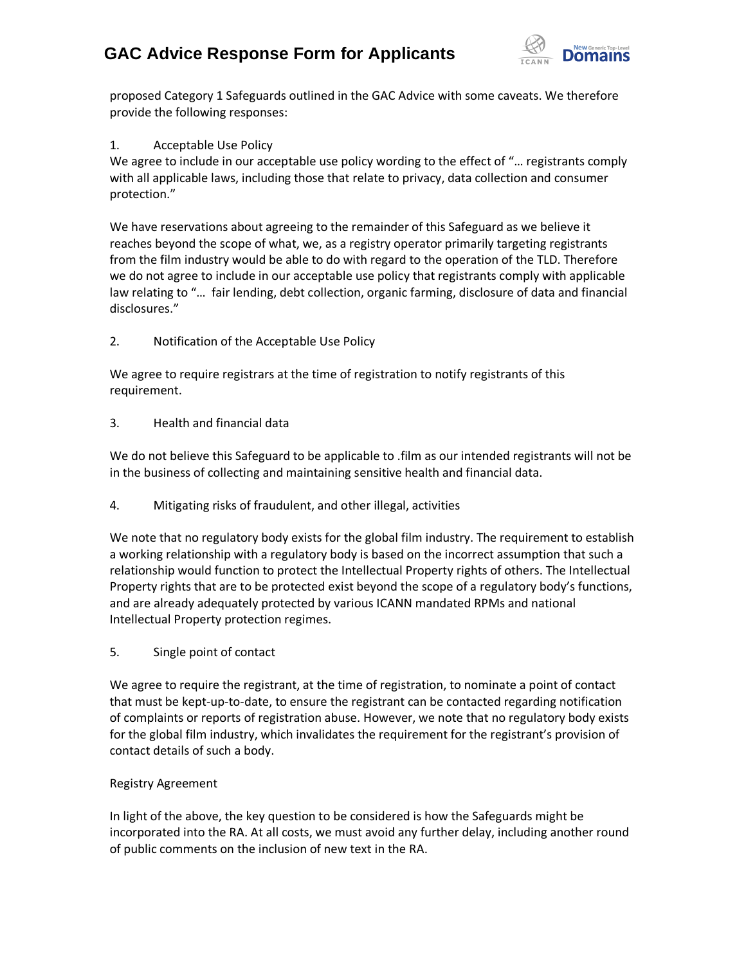

proposed Category 1 Safeguards outlined in the GAC Advice with some caveats. We therefore provide the following responses:

### 1. Acceptable Use Policy

We agree to include in our acceptable use policy wording to the effect of "... registrants comply with all applicable laws, including those that relate to privacy, data collection and consumer protection."

We have reservations about agreeing to the remainder of this Safeguard as we believe it reaches beyond the scope of what, we, as a registry operator primarily targeting registrants from the film industry would be able to do with regard to the operation of the TLD. Therefore we do not agree to include in our acceptable use policy that registrants comply with applicable law relating to "… fair lending, debt collection, organic farming, disclosure of data and financial disclosures."

### 2. Notification of the Acceptable Use Policy

We agree to require registrars at the time of registration to notify registrants of this requirement.

### 3. Health and financial data

We do not believe this Safeguard to be applicable to .film as our intended registrants will not be in the business of collecting and maintaining sensitive health and financial data.

4. Mitigating risks of fraudulent, and other illegal, activities

We note that no regulatory body exists for the global film industry. The requirement to establish a working relationship with a regulatory body is based on the incorrect assumption that such a relationship would function to protect the Intellectual Property rights of others. The Intellectual Property rights that are to be protected exist beyond the scope of a regulatory body's functions, and are already adequately protected by various ICANN mandated RPMs and national Intellectual Property protection regimes.

5. Single point of contact

We agree to require the registrant, at the time of registration, to nominate a point of contact that must be kept-up-to-date, to ensure the registrant can be contacted regarding notification of complaints or reports of registration abuse. However, we note that no regulatory body exists for the global film industry, which invalidates the requirement for the registrant's provision of contact details of such a body.

### Registry Agreement

In light of the above, the key question to be considered is how the Safeguards might be incorporated into the RA. At all costs, we must avoid any further delay, including another round of public comments on the inclusion of new text in the RA.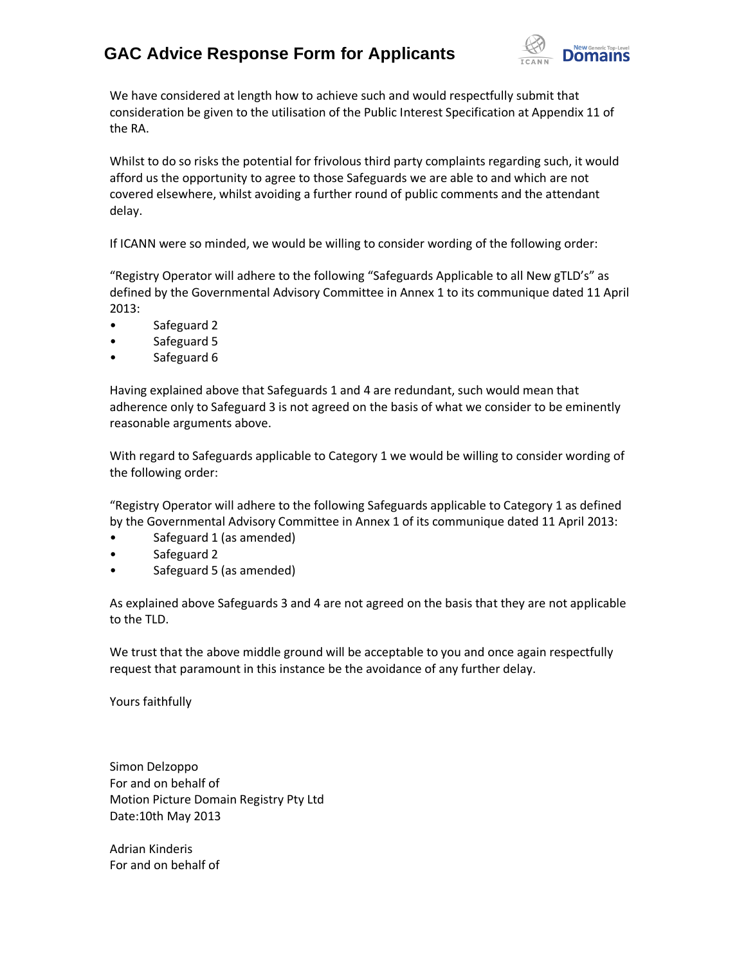

We have considered at length how to achieve such and would respectfully submit that consideration be given to the utilisation of the Public Interest Specification at Appendix 11 of the RA.

Whilst to do so risks the potential for frivolous third party complaints regarding such, it would afford us the opportunity to agree to those Safeguards we are able to and which are not covered elsewhere, whilst avoiding a further round of public comments and the attendant delay.

If ICANN were so minded, we would be willing to consider wording of the following order:

"Registry Operator will adhere to the following "Safeguards Applicable to all New gTLD's" as defined by the Governmental Advisory Committee in Annex 1 to its communique dated 11 April 2013:

- Safeguard 2
- Safeguard 5
- Safeguard 6

Having explained above that Safeguards 1 and 4 are redundant, such would mean that adherence only to Safeguard 3 is not agreed on the basis of what we consider to be eminently reasonable arguments above.

With regard to Safeguards applicable to Category 1 we would be willing to consider wording of the following order:

"Registry Operator will adhere to the following Safeguards applicable to Category 1 as defined by the Governmental Advisory Committee in Annex 1 of its communique dated 11 April 2013:

- Safeguard 1 (as amended)
- Safeguard 2
- Safeguard 5 (as amended)

As explained above Safeguards 3 and 4 are not agreed on the basis that they are not applicable to the TLD.

We trust that the above middle ground will be acceptable to you and once again respectfully request that paramount in this instance be the avoidance of any further delay.

Yours faithfully

Simon Delzoppo For and on behalf of Motion Picture Domain Registry Pty Ltd Date:10th May 2013

Adrian Kinderis For and on behalf of